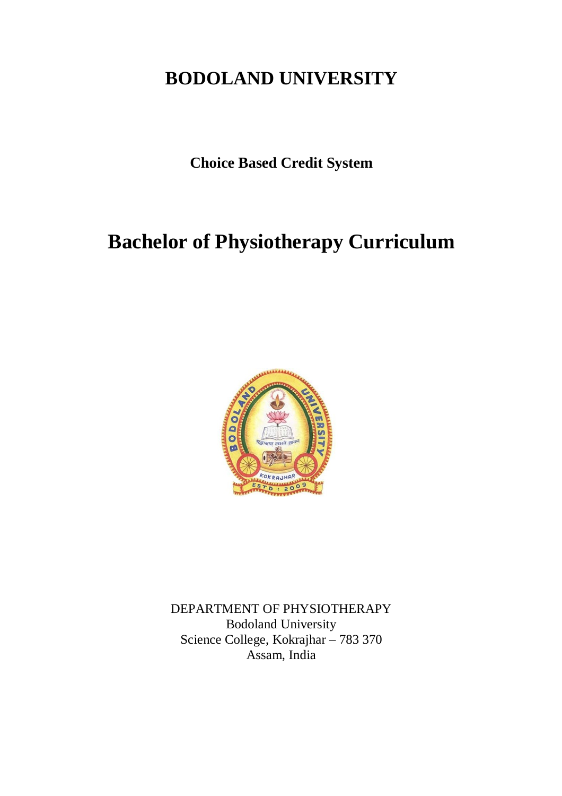# **BODOLAND UNIVERSITY**

**Choice Based Credit System**

# **Bachelor of Physiotherapy Curriculum**



DEPARTMENT OF PHYSIOTHERAPY Bodoland University Science College, Kokrajhar – 783 370 Assam, India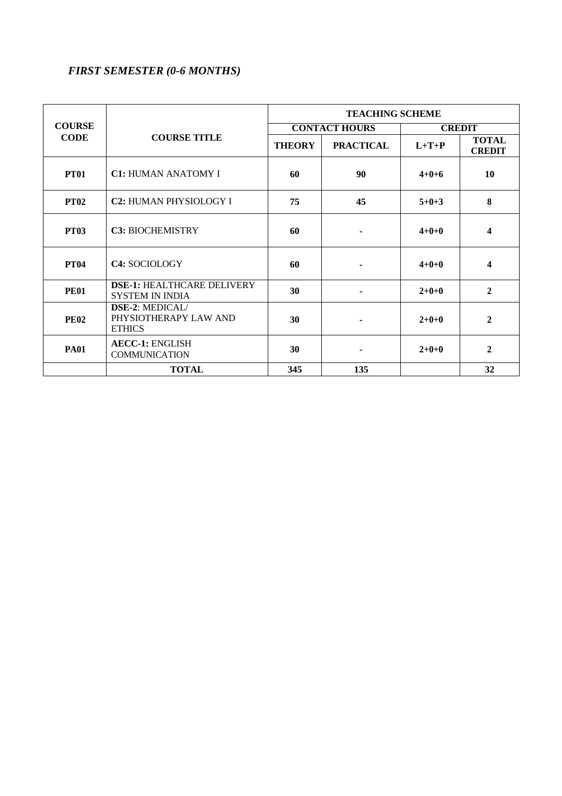# *FIRST SEMESTER (0-6 MONTHS)*

|                              |                                                             | <b>TEACHING SCHEME</b> |                  |               |                               |
|------------------------------|-------------------------------------------------------------|------------------------|------------------|---------------|-------------------------------|
| <b>COURSE</b><br><b>CODE</b> | <b>COURSE TITLE</b>                                         | <b>CONTACT HOURS</b>   |                  | <b>CREDIT</b> |                               |
|                              |                                                             | <b>THEORY</b>          | <b>PRACTICAL</b> | $L+T+P$       | <b>TOTAL</b><br><b>CREDIT</b> |
| <b>PT01</b>                  | <b>C1: HUMAN ANATOMY I</b>                                  | 60                     | 90               | $4+0+6$       | 10                            |
| <b>PT02</b>                  | <b>C2: HUMAN PHYSIOLOGY I</b>                               | 75                     | 45               | $5+0+3$       | 8                             |
| <b>PT03</b>                  | <b>C3: BIOCHEMISTRY</b>                                     | 60                     |                  | $4 + 0 + 0$   | 4                             |
| <b>PT04</b>                  | <b>C4: SOCIOLOGY</b>                                        | 60                     |                  | $4+0+0$       | 4                             |
| <b>PE01</b>                  | <b>DSE-1: HEALTHCARE DELIVERY</b><br><b>SYSTEM IN INDIA</b> | 30                     |                  | $2+0+0$       | $\overline{2}$                |
| <b>PE02</b>                  | DSE-2: MEDICAL/<br>PHYSIOTHERAPY LAW AND<br><b>ETHICS</b>   | 30                     |                  | $2+0+0$       | $\mathbf{2}$                  |
| <b>PA01</b>                  | <b>AECC-1: ENGLISH</b><br><b>COMMUNICATION</b>              | 30                     |                  | $2+0+0$       | $\overline{2}$                |
|                              | <b>TOTAL</b>                                                | 345                    | 135              |               | 32                            |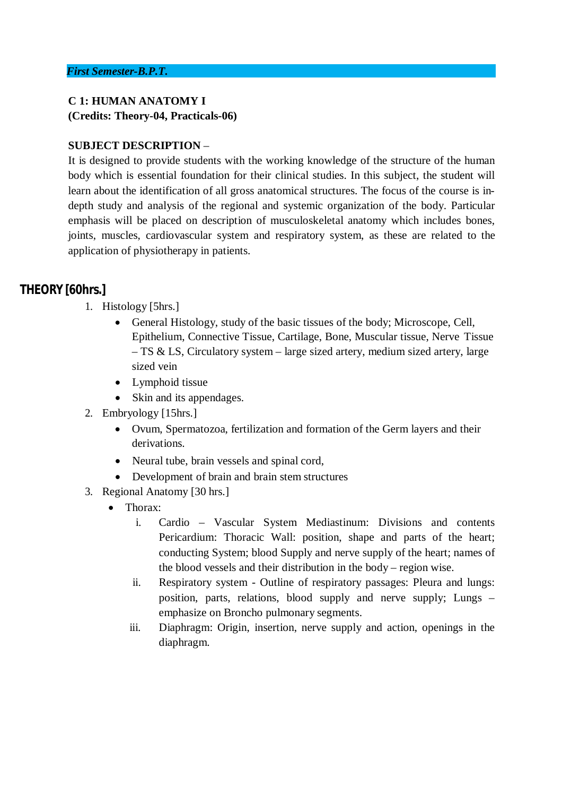### **C 1: HUMAN ANATOMY I (Credits: Theory-04, Practicals-06)**

### **SUBJECT DESCRIPTION** –

It is designed to provide students with the working knowledge of the structure of the human body which is essential foundation for their clinical studies. In this subject, the student will learn about the identification of all gross anatomical structures. The focus of the course is indepth study and analysis of the regional and systemic organization of the body. Particular emphasis will be placed on description of musculoskeletal anatomy which includes bones, joints, muscles, cardiovascular system and respiratory system, as these are related to the application of physiotherapy in patients.

# **THEORY [60hrs.]**

- 1. Histology [5hrs.]
	- General Histology, study of the basic tissues of the body; Microscope, Cell, Epithelium, Connective Tissue, Cartilage, Bone, Muscular tissue, Nerve Tissue – TS & LS, Circulatory system – large sized artery, medium sized artery, large sized vein
	- Lymphoid tissue
	- Skin and its appendages.
- 2. Embryology [15hrs.]
	- Ovum, Spermatozoa, fertilization and formation of the Germ layers and their derivations.
	- Neural tube, brain vessels and spinal cord,
	- Development of brain and brain stem structures
- 3. Regional Anatomy [30 hrs.]
	- Thorax<sup>·</sup>
		- i. Cardio Vascular System Mediastinum: Divisions and contents Pericardium: Thoracic Wall: position, shape and parts of the heart; conducting System; blood Supply and nerve supply of the heart; names of the blood vessels and their distribution in the body – region wise.
		- ii. Respiratory system Outline of respiratory passages: Pleura and lungs: position, parts, relations, blood supply and nerve supply; Lungs – emphasize on Broncho pulmonary segments.
		- iii. Diaphragm: Origin, insertion, nerve supply and action, openings in the diaphragm.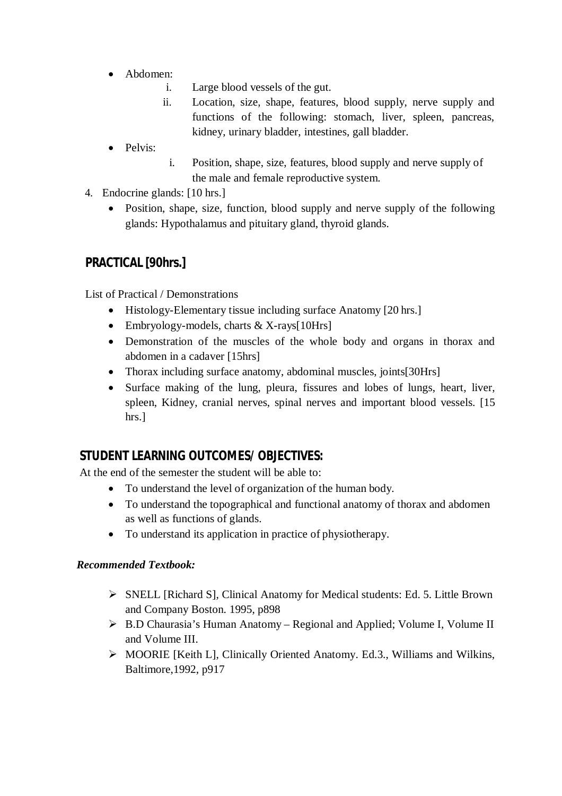- Abdomen:
	- i. Large blood vessels of the gut.
	- ii. Location, size, shape, features, blood supply, nerve supply and functions of the following: stomach, liver, spleen, pancreas, kidney, urinary bladder, intestines, gall bladder.
- Pelvis:
- i. Position, shape, size, features, blood supply and nerve supply of the male and female reproductive system.
- 4. Endocrine glands: [10 hrs.]
	- Position, shape, size, function, blood supply and nerve supply of the following glands: Hypothalamus and pituitary gland, thyroid glands.

# **PRACTICAL [90hrs.]**

List of Practical / Demonstrations

- Histology-Elementary tissue including surface Anatomy [20 hrs.]
- $\bullet$  Embryology-models, charts & X-rays[10Hrs]
- Demonstration of the muscles of the whole body and organs in thorax and abdomen in a cadaver [15hrs]
- Thorax including surface anatomy, abdominal muscles, joints[30Hrs]
- Surface making of the lung, pleura, fissures and lobes of lungs, heart, liver, spleen, Kidney, cranial nerves, spinal nerves and important blood vessels. [15 hrs.]

# **STUDENT LEARNING OUTCOMES/ OBJECTIVES:**

At the end of the semester the student will be able to:

- To understand the level of organization of the human body.
- To understand the topographical and functional anatomy of thorax and abdomen as well as functions of glands.
- To understand its application in practice of physiotherapy.

### *Recommended Textbook:*

- SNELL [Richard S], Clinical Anatomy for Medical students: Ed. 5. Little Brown and Company Boston. 1995, p898
- B.D Chaurasia's Human Anatomy Regional and Applied; Volume I, Volume II and Volume III.
- MOORIE [Keith L], Clinically Oriented Anatomy. Ed.3., Williams and Wilkins, Baltimore,1992, p917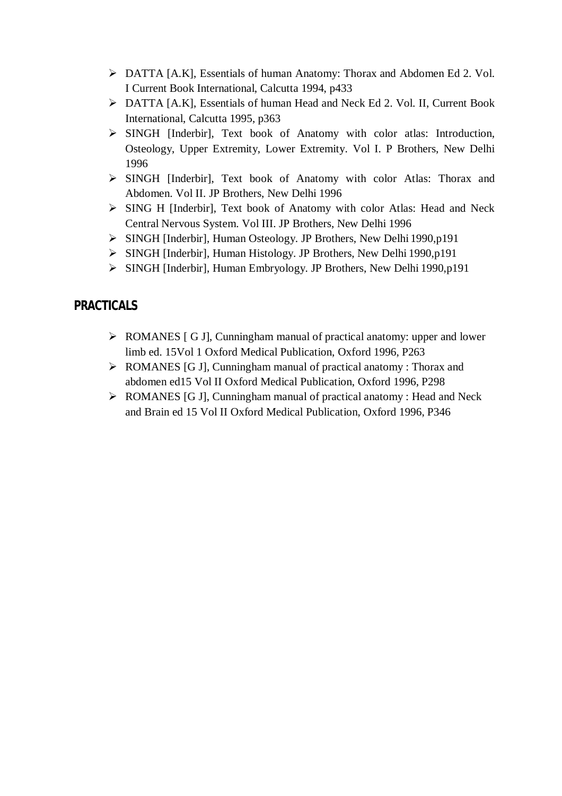- DATTA [A.K], Essentials of human Anatomy: Thorax and Abdomen Ed 2. Vol. I Current Book International, Calcutta 1994, p433
- DATTA [A.K], Essentials of human Head and Neck Ed 2. Vol. II, Current Book International, Calcutta 1995, p363
- SINGH [Inderbir], Text book of Anatomy with color atlas: Introduction, Osteology, Upper Extremity, Lower Extremity. Vol I. P Brothers, New Delhi 1996
- SINGH [Inderbir], Text book of Anatomy with color Atlas: Thorax and Abdomen. Vol II. JP Brothers, New Delhi 1996
- SING H [Inderbir], Text book of Anatomy with color Atlas: Head and Neck Central Nervous System. Vol III. JP Brothers, New Delhi 1996
- SINGH [Inderbir], Human Osteology. JP Brothers, New Delhi 1990,p191
- SINGH [Inderbir], Human Histology. JP Brothers, New Delhi 1990,p191
- SINGH [Inderbir], Human Embryology. JP Brothers, New Delhi 1990,p191

# **PRACTICALS**

- ROMANES [ G J], Cunningham manual of practical anatomy: upper and lower limb ed. 15Vol 1 Oxford Medical Publication, Oxford 1996, P263
- ROMANES [G J], Cunningham manual of practical anatomy : Thorax and abdomen ed15 Vol II Oxford Medical Publication, Oxford 1996, P298
- ▶ ROMANES [G J], Cunningham manual of practical anatomy : Head and Neck and Brain ed 15 Vol II Oxford Medical Publication, Oxford 1996, P346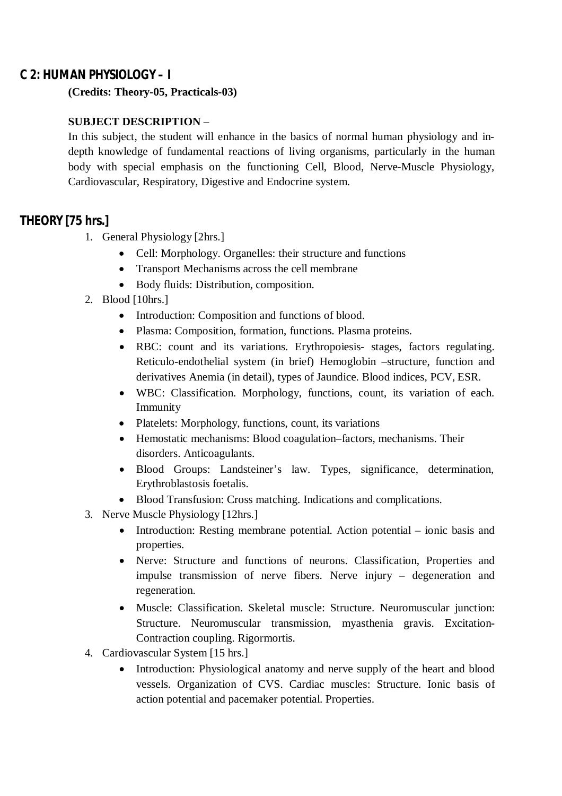### **C 2: HUMAN PHYSIOLOGY – I**

**(Credits: Theory-05, Practicals-03)**

### **SUBJECT DESCRIPTION** –

In this subject, the student will enhance in the basics of normal human physiology and indepth knowledge of fundamental reactions of living organisms, particularly in the human body with special emphasis on the functioning Cell, Blood, Nerve-Muscle Physiology, Cardiovascular, Respiratory, Digestive and Endocrine system.

### **THEORY [75 hrs.]**

- 1. General Physiology [2hrs.]
	- Cell: Morphology. Organelles: their structure and functions
	- Transport Mechanisms across the cell membrane
	- Body fluids: Distribution, composition.
- 2. Blood [10hrs.]
	- Introduction: Composition and functions of blood.
	- Plasma: Composition, formation, functions. Plasma proteins.
	- RBC: count and its variations. Erythropoiesis- stages, factors regulating. Reticulo-endothelial system (in brief) Hemoglobin –structure, function and derivatives Anemia (in detail), types of Jaundice. Blood indices, PCV, ESR.
	- WBC: Classification. Morphology, functions, count, its variation of each. Immunity
	- Platelets: Morphology, functions, count, its variations
	- Hemostatic mechanisms: Blood coagulation–factors, mechanisms. Their disorders. Anticoagulants.
	- Blood Groups: Landsteiner's law. Types, significance, determination, Erythroblastosis foetalis.
	- Blood Transfusion: Cross matching. Indications and complications.
- 3. Nerve Muscle Physiology [12hrs.]
	- Introduction: Resting membrane potential. Action potential ionic basis and properties.
	- Nerve: Structure and functions of neurons. Classification, Properties and impulse transmission of nerve fibers. Nerve injury – degeneration and regeneration.
	- Muscle: Classification. Skeletal muscle: Structure. Neuromuscular junction: Structure. Neuromuscular transmission, myasthenia gravis. Excitation-Contraction coupling. Rigormortis.
- 4. Cardiovascular System [15 hrs.]
	- Introduction: Physiological anatomy and nerve supply of the heart and blood vessels. Organization of CVS. Cardiac muscles: Structure. Ionic basis of action potential and pacemaker potential. Properties.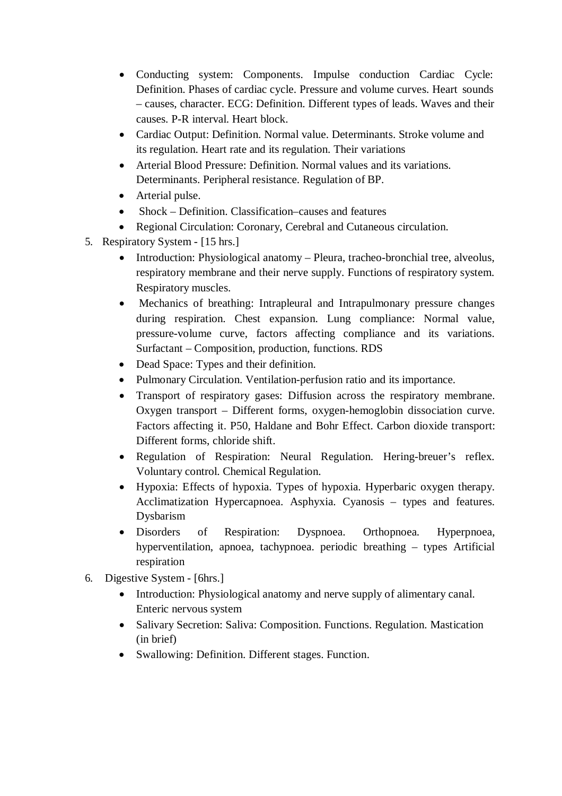- Conducting system: Components. Impulse conduction Cardiac Cycle: Definition. Phases of cardiac cycle. Pressure and volume curves. Heart sounds – causes, character. ECG: Definition. Different types of leads. Waves and their causes. P-R interval. Heart block.
- Cardiac Output: Definition. Normal value. Determinants. Stroke volume and its regulation. Heart rate and its regulation. Their variations
- Arterial Blood Pressure: Definition. Normal values and its variations. Determinants. Peripheral resistance. Regulation of BP.
- Arterial pulse.
- Shock Definition. Classification–causes and features
- Regional Circulation: Coronary, Cerebral and Cutaneous circulation.
- 5. Respiratory System [15 hrs.]
	- Introduction: Physiological anatomy Pleura, tracheo-bronchial tree, alveolus, respiratory membrane and their nerve supply. Functions of respiratory system. Respiratory muscles.
	- Mechanics of breathing: Intrapleural and Intrapulmonary pressure changes during respiration. Chest expansion. Lung compliance: Normal value, pressure-volume curve, factors affecting compliance and its variations. Surfactant – Composition, production, functions. RDS
	- Dead Space: Types and their definition.
	- Pulmonary Circulation. Ventilation-perfusion ratio and its importance.
	- Transport of respiratory gases: Diffusion across the respiratory membrane. Oxygen transport – Different forms, oxygen-hemoglobin dissociation curve. Factors affecting it. P50, Haldane and Bohr Effect. Carbon dioxide transport: Different forms, chloride shift.
	- Regulation of Respiration: Neural Regulation. Hering-breuer's reflex. Voluntary control. Chemical Regulation.
	- Hypoxia: Effects of hypoxia. Types of hypoxia. Hyperbaric oxygen therapy. Acclimatization Hypercapnoea. Asphyxia. Cyanosis – types and features. Dysbarism
	- Disorders of Respiration: Dyspnoea. Orthopnoea. Hyperpnoea, hyperventilation, apnoea, tachypnoea. periodic breathing – types Artificial respiration
- 6. Digestive System [6hrs.]
	- Introduction: Physiological anatomy and nerve supply of alimentary canal. Enteric nervous system
	- Salivary Secretion: Saliva: Composition. Functions. Regulation. Mastication (in brief)
	- Swallowing: Definition. Different stages. Function.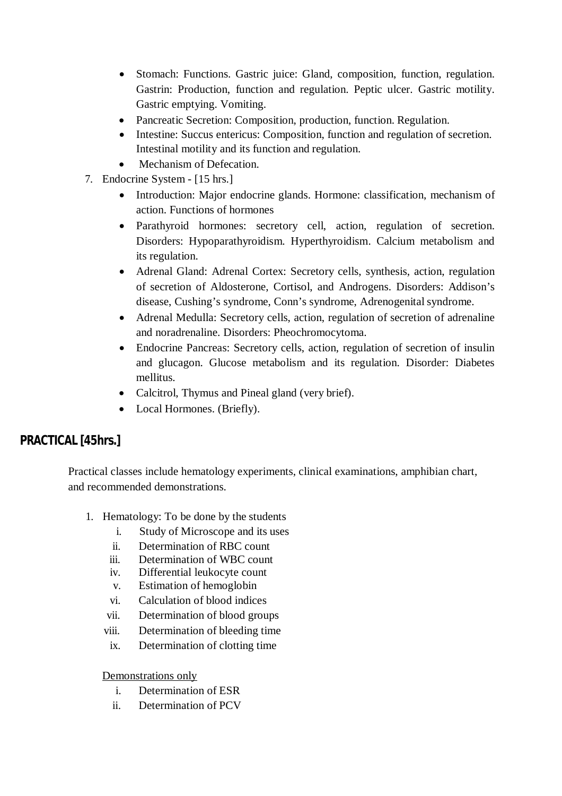- Stomach: Functions. Gastric juice: Gland, composition, function, regulation. Gastrin: Production, function and regulation. Peptic ulcer. Gastric motility. Gastric emptying. Vomiting.
- Pancreatic Secretion: Composition, production, function. Regulation.
- Intestine: Succus entericus: Composition, function and regulation of secretion. Intestinal motility and its function and regulation.
- Mechanism of Defecation.
- 7. Endocrine System [15 hrs.]
	- Introduction: Major endocrine glands. Hormone: classification, mechanism of action. Functions of hormones
	- Parathyroid hormones: secretory cell, action, regulation of secretion. Disorders: Hypoparathyroidism. Hyperthyroidism. Calcium metabolism and its regulation.
	- Adrenal Gland: Adrenal Cortex: Secretory cells, synthesis, action, regulation of secretion of Aldosterone, Cortisol, and Androgens. Disorders: Addison's disease, Cushing's syndrome, Conn's syndrome, Adrenogenital syndrome.
	- Adrenal Medulla: Secretory cells, action, regulation of secretion of adrenaline and noradrenaline. Disorders: Pheochromocytoma.
	- Endocrine Pancreas: Secretory cells, action, regulation of secretion of insulin and glucagon. Glucose metabolism and its regulation. Disorder: Diabetes mellitus.
	- Calcitrol, Thymus and Pineal gland (very brief).
	- Local Hormones. (Briefly).

# **PRACTICAL [45hrs.]**

Practical classes include hematology experiments, clinical examinations, amphibian chart, and recommended demonstrations.

- 1. Hematology: To be done by the students
	- i. Study of Microscope and its uses
	- ii. Determination of RBC count
	- iii. Determination of WBC count
	- iv. Differential leukocyte count
	- v. Estimation of hemoglobin
	- vi. Calculation of blood indices
	- vii. Determination of blood groups
	- viii. Determination of bleeding time
	- ix. Determination of clotting time

### Demonstrations only

- i. Determination of ESR
- ii. Determination of PCV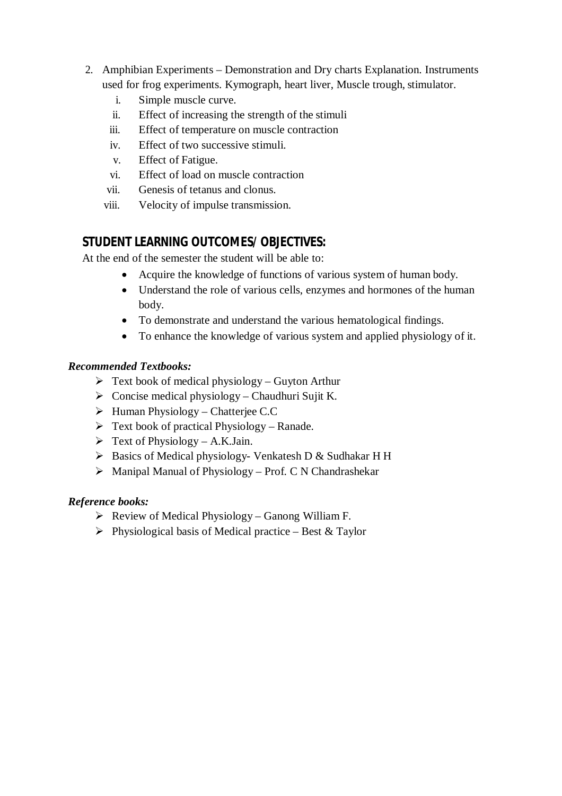- 2. Amphibian Experiments Demonstration and Dry charts Explanation. Instruments used for frog experiments. Kymograph, heart liver, Muscle trough, stimulator.
	- i. Simple muscle curve.
	- ii. Effect of increasing the strength of the stimuli
	- iii. Effect of temperature on muscle contraction
	- iv. Effect of two successive stimuli.
	- v. Effect of Fatigue.
	- vi. Effect of load on muscle contraction
	- vii. Genesis of tetanus and clonus.
	- viii. Velocity of impulse transmission.

# **STUDENT LEARNING OUTCOMES/ OBJECTIVES:**

At the end of the semester the student will be able to:

- Acquire the knowledge of functions of various system of human body.
- Understand the role of various cells, enzymes and hormones of the human body.
- To demonstrate and understand the various hematological findings.
- To enhance the knowledge of various system and applied physiology of it.

### *Recommended Textbooks:*

- $\triangleright$  Text book of medical physiology Guyton Arthur
- $\triangleright$  Concise medical physiology Chaudhuri Sujit K.
- $\triangleright$  Human Physiology Chatterjee C.C
- $\triangleright$  Text book of practical Physiology Ranade.
- $\triangleright$  Text of Physiology A.K.Jain.
- > Basics of Medical physiology- Venkatesh D & Sudhakar H H
- $\triangleright$  Manipal Manual of Physiology Prof. C N Chandrashekar

### *Reference books:*

- $\triangleright$  Review of Medical Physiology Ganong William F.
- $\triangleright$  Physiological basis of Medical practice Best & Taylor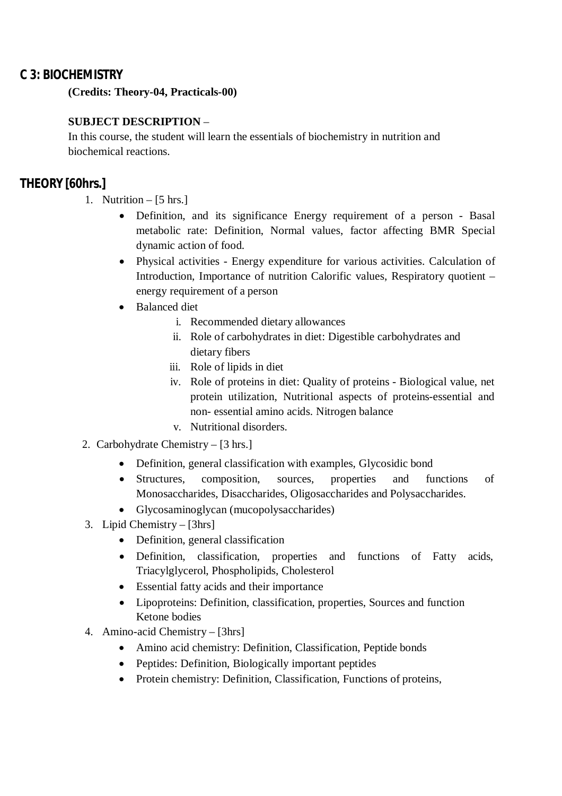### **C 3: BIOCHEMISTRY**

**(Credits: Theory-04, Practicals-00)**

### **SUBJECT DESCRIPTION** –

In this course, the student will learn the essentials of biochemistry in nutrition and biochemical reactions.

# **THEORY [60hrs.]**

- 1. Nutrition  $-$  [5 hrs.]
	- Definition, and its significance Energy requirement of a person Basal metabolic rate: Definition, Normal values, factor affecting BMR Special dynamic action of food.
	- Physical activities Energy expenditure for various activities. Calculation of Introduction, Importance of nutrition Calorific values, Respiratory quotient – energy requirement of a person
	- Balanced diet
		- i. Recommended dietary allowances
		- ii. Role of carbohydrates in diet: Digestible carbohydrates and dietary fibers
		- iii. Role of lipids in diet
		- iv. Role of proteins in diet: Quality of proteins Biological value, net protein utilization, Nutritional aspects of proteins-essential and non- essential amino acids. Nitrogen balance
		- v. Nutritional disorders.
- 2. Carbohydrate Chemistry [3 hrs.]
	- Definition, general classification with examples, Glycosidic bond
	- Structures, composition, sources, properties and functions of Monosaccharides, Disaccharides, Oligosaccharides and Polysaccharides.
	- Glycosaminoglycan (mucopolysaccharides)
- 3. Lipid Chemistry [3hrs]
	- Definition, general classification
	- Definition, classification, properties and functions of Fatty acids, Triacylglycerol, Phospholipids, Cholesterol
	- Essential fatty acids and their importance
	- Lipoproteins: Definition, classification, properties, Sources and function Ketone bodies
- 4. Amino-acid Chemistry [3hrs]
	- Amino acid chemistry: Definition, Classification, Peptide bonds
	- Peptides: Definition, Biologically important peptides
	- Protein chemistry: Definition, Classification, Functions of proteins,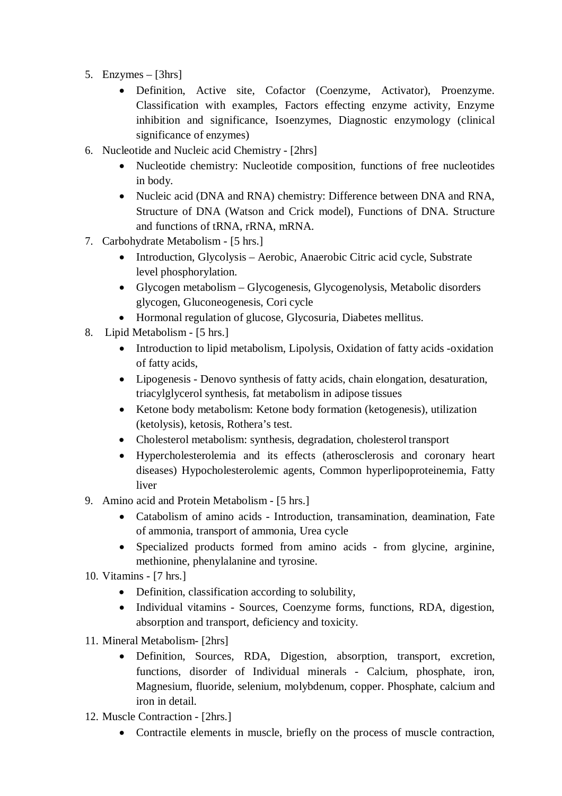- 5. Enzymes [3hrs]
	- Definition, Active site, Cofactor (Coenzyme, Activator), Proenzyme. Classification with examples, Factors effecting enzyme activity, Enzyme inhibition and significance, Isoenzymes, Diagnostic enzymology (clinical significance of enzymes)
- 6. Nucleotide and Nucleic acid Chemistry [2hrs]
	- Nucleotide chemistry: Nucleotide composition, functions of free nucleotides in body.
	- Nucleic acid (DNA and RNA) chemistry: Difference between DNA and RNA, Structure of DNA (Watson and Crick model), Functions of DNA. Structure and functions of tRNA, rRNA, mRNA.
- 7. Carbohydrate Metabolism [5 hrs.]
	- Introduction, Glycolysis Aerobic, Anaerobic Citric acid cycle, Substrate level phosphorylation.
	- Glycogen metabolism Glycogenesis, Glycogenolysis, Metabolic disorders glycogen, Gluconeogenesis, Cori cycle
	- Hormonal regulation of glucose, Glycosuria, Diabetes mellitus.
- 8. Lipid Metabolism [5 hrs.]
	- Introduction to lipid metabolism, Lipolysis, Oxidation of fatty acids -oxidation of fatty acids,
	- Lipogenesis Denovo synthesis of fatty acids, chain elongation, desaturation, triacylglycerol synthesis, fat metabolism in adipose tissues
	- Ketone body metabolism: Ketone body formation (ketogenesis), utilization (ketolysis), ketosis, Rothera's test.
	- Cholesterol metabolism: synthesis, degradation, cholesterol transport
	- Hypercholesterolemia and its effects (atherosclerosis and coronary heart diseases) Hypocholesterolemic agents, Common hyperlipoproteinemia, Fatty liver
- 9. Amino acid and Protein Metabolism [5 hrs.]
	- Catabolism of amino acids Introduction, transamination, deamination, Fate of ammonia, transport of ammonia, Urea cycle
	- Specialized products formed from amino acids from glycine, arginine, methionine, phenylalanine and tyrosine.
- 10. Vitamins [7 hrs.]
	- Definition, classification according to solubility,
	- Individual vitamins Sources, Coenzyme forms, functions, RDA, digestion, absorption and transport, deficiency and toxicity.
- 11. Mineral Metabolism- [2hrs]
	- Definition, Sources, RDA, Digestion, absorption, transport, excretion, functions, disorder of Individual minerals - Calcium, phosphate, iron, Magnesium, fluoride, selenium, molybdenum, copper. Phosphate, calcium and iron in detail.
- 12. Muscle Contraction [2hrs.]
	- Contractile elements in muscle, briefly on the process of muscle contraction,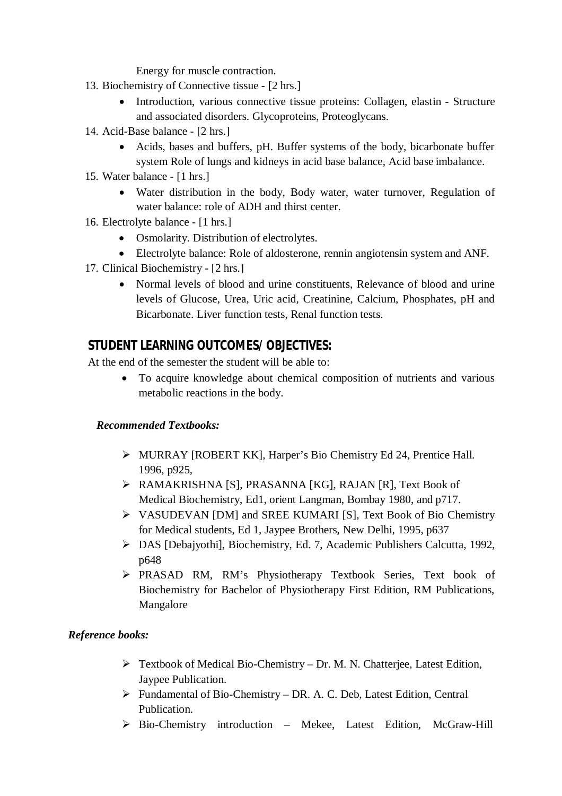Energy for muscle contraction.

- 13. Biochemistry of Connective tissue [2 hrs.]
	- Introduction, various connective tissue proteins: Collagen, elastin Structure and associated disorders. Glycoproteins, Proteoglycans.
- 14. Acid-Base balance [2 hrs.]
	- Acids, bases and buffers, pH. Buffer systems of the body, bicarbonate buffer system Role of lungs and kidneys in acid base balance, Acid base imbalance.
- 15. Water balance [1 hrs.]
	- Water distribution in the body, Body water, water turnover, Regulation of water balance: role of ADH and thirst center.
- 16. Electrolyte balance [1 hrs.]
	- Osmolarity. Distribution of electrolytes.
	- Electrolyte balance: Role of aldosterone, rennin angiotensin system and ANF.
- 17. Clinical Biochemistry [2 hrs.]
	- Normal levels of blood and urine constituents, Relevance of blood and urine levels of Glucose, Urea, Uric acid, Creatinine, Calcium, Phosphates, pH and Bicarbonate. Liver function tests, Renal function tests.

### **STUDENT LEARNING OUTCOMES/ OBJECTIVES:**

At the end of the semester the student will be able to:

 To acquire knowledge about chemical composition of nutrients and various metabolic reactions in the body.

### *Recommended Textbooks:*

- MURRAY [ROBERT KK], Harper's Bio Chemistry Ed 24, Prentice Hall. 1996, p925,
- RAMAKRISHNA [S], PRASANNA [KG], RAJAN [R], Text Book of Medical Biochemistry, Ed1, orient Langman, Bombay 1980, and p717.
- VASUDEVAN [DM] and SREE KUMARI [S], Text Book of Bio Chemistry for Medical students, Ed 1, Jaypee Brothers, New Delhi, 1995, p637
- DAS [Debajyothi], Biochemistry, Ed. 7, Academic Publishers Calcutta, 1992, p648
- PRASAD RM, RM's Physiotherapy Textbook Series, Text book of Biochemistry for Bachelor of Physiotherapy First Edition, RM Publications, Mangalore

### *Reference books:*

- Textbook of Medical Bio-Chemistry Dr. M. N. Chatterjee, Latest Edition, Jaypee Publication.
- Fundamental of Bio-Chemistry DR. A. C. Deb, Latest Edition, Central Publication.
- Bio-Chemistry introduction Mekee, Latest Edition, McGraw-Hill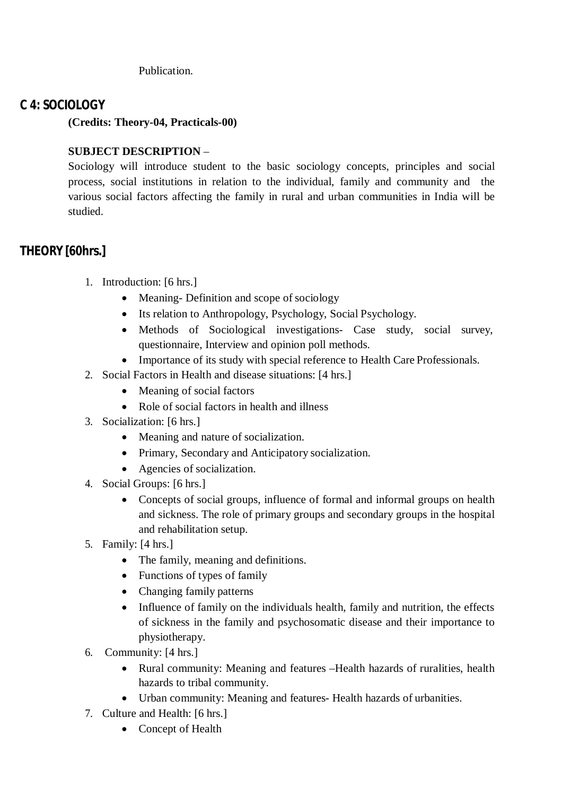Publication.

# **C 4: SOCIOLOGY**

**(Credits: Theory-04, Practicals-00)**

### **SUBJECT DESCRIPTION** –

Sociology will introduce student to the basic sociology concepts, principles and social process, social institutions in relation to the individual, family and community and the various social factors affecting the family in rural and urban communities in India will be studied.

# **THEORY [60hrs.]**

- 1. Introduction: [6 hrs.]
	- Meaning- Definition and scope of sociology
	- Its relation to Anthropology, Psychology, Social Psychology.
	- Methods of Sociological investigations- Case study, social survey, questionnaire, Interview and opinion poll methods.
	- Importance of its study with special reference to Health Care Professionals.
- 2. Social Factors in Health and disease situations: [4 hrs.]
	- Meaning of social factors
	- Role of social factors in health and illness
- 3. Socialization: [6 hrs.]
	- Meaning and nature of socialization.
	- Primary, Secondary and Anticipatory socialization.
	- Agencies of socialization.
- 4. Social Groups: [6 hrs.]
	- Concepts of social groups, influence of formal and informal groups on health and sickness. The role of primary groups and secondary groups in the hospital and rehabilitation setup.
- 5. Family: [4 hrs.]
	- The family, meaning and definitions.
	- Functions of types of family
	- Changing family patterns
	- Influence of family on the individuals health, family and nutrition, the effects of sickness in the family and psychosomatic disease and their importance to physiotherapy.
- 6. Community: [4 hrs.]
	- Rural community: Meaning and features Health hazards of ruralities, health hazards to tribal community.
	- Urban community: Meaning and features- Health hazards of urbanities.
- 7. Culture and Health: [6 hrs.]
	- Concept of Health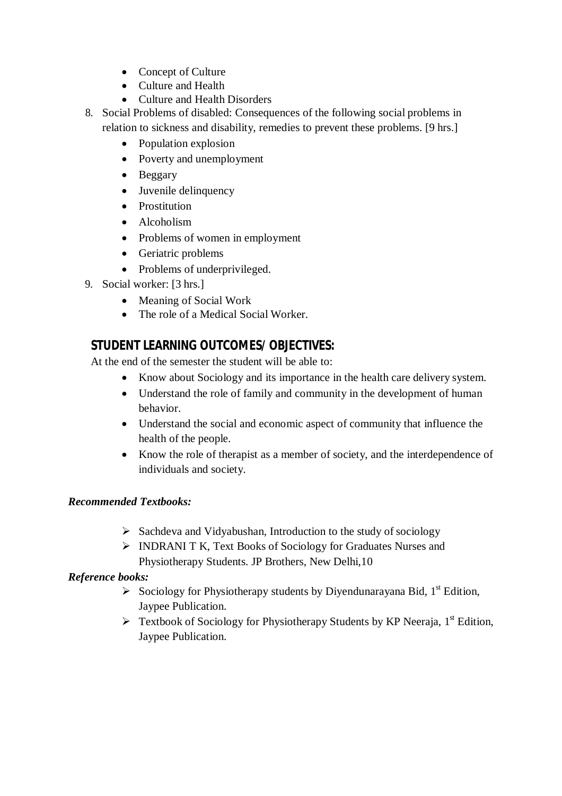- Concept of Culture
- Culture and Health
- Culture and Health Disorders
- 8. Social Problems of disabled: Consequences of the following social problems in relation to sickness and disability, remedies to prevent these problems. [9 hrs.]
	- Population explosion
	- Poverty and unemployment
	- Beggary
	- Juvenile delinquency
	- Prostitution
	- Alcoholism
	- Problems of women in employment
	- Geriatric problems
	- Problems of underprivileged.
- 9. Social worker: [3 hrs.]
	- Meaning of Social Work
	- The role of a Medical Social Worker.

# **STUDENT LEARNING OUTCOMES/ OBJECTIVES:**

At the end of the semester the student will be able to:

- Know about Sociology and its importance in the health care delivery system.
- Understand the role of family and community in the development of human behavior.
- Understand the social and economic aspect of community that influence the health of the people.
- Know the role of therapist as a member of society, and the interdependence of individuals and society.

### *Recommended Textbooks:*

- $\triangleright$  Sachdeva and Vidyabushan, Introduction to the study of sociology
- INDRANI T K, Text Books of Sociology for Graduates Nurses and Physiotherapy Students. JP Brothers, New Delhi,10

# *Reference books:*

- $\triangleright$  Sociology for Physiotherapy students by Diyendunarayana Bid, 1<sup>st</sup> Edition, Jaypee Publication.
- $\triangleright$  Textbook of Sociology for Physiotherapy Students by KP Neeraja, 1<sup>st</sup> Edition, Jaypee Publication.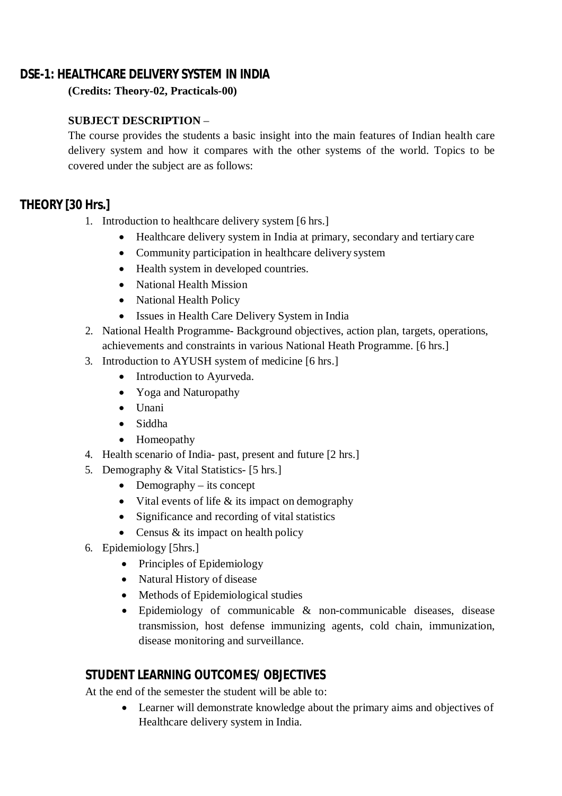# **DSE-1: HEALTHCARE DELIVERY SYSTEM IN INDIA**

**(Credits: Theory-02, Practicals-00)**

### **SUBJECT DESCRIPTION** –

The course provides the students a basic insight into the main features of Indian health care delivery system and how it compares with the other systems of the world. Topics to be covered under the subject are as follows:

# **THEORY [30 Hrs.]**

- 1. Introduction to healthcare delivery system [6 hrs.]
	- Healthcare delivery system in India at primary, secondary and tertiary care
	- Community participation in healthcare delivery system
	- Health system in developed countries.
	- National Health Mission
	- National Health Policy
	- Issues in Health Care Delivery System in India
- 2. National Health Programme- Background objectives, action plan, targets, operations, achievements and constraints in various National Heath Programme. [6 hrs.]
- 3. Introduction to AYUSH system of medicine [6 hrs.]
	- Introduction to Ayurveda.
	- Yoga and Naturopathy
	- Unani
	- Siddha
	- Homeopathy
- 4. Health scenario of India- past, present and future [2 hrs.]
- 5. Demography & Vital Statistics- [5 hrs.]
	- $\bullet$  Demography its concept
	- $\bullet$  Vital events of life & its impact on demography
	- Significance and recording of vital statistics
	- Census  $&$  its impact on health policy
- 6. Epidemiology [5hrs.]
	- Principles of Epidemiology
	- Natural History of disease
	- Methods of Epidemiological studies
	- Epidemiology of communicable & non-communicable diseases, disease transmission, host defense immunizing agents, cold chain, immunization, disease monitoring and surveillance.

# **STUDENT LEARNING OUTCOMES/ OBJECTIVES**

At the end of the semester the student will be able to:

 Learner will demonstrate knowledge about the primary aims and objectives of Healthcare delivery system in India.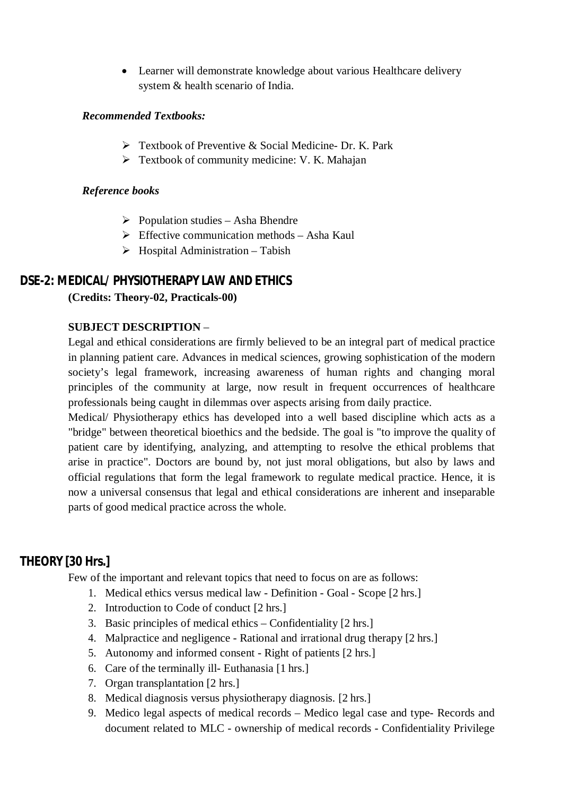• Learner will demonstrate knowledge about various Healthcare delivery system & health scenario of India.

### *Recommended Textbooks:*

- $\triangleright$  Textbook of Preventive & Social Medicine- Dr. K. Park
- $\triangleright$  Textbook of community medicine: V. K. Mahajan

#### *Reference books*

- $\triangleright$  Population studies Asha Bhendre
- $\triangleright$  Effective communication methods Asha Kaul
- $\triangleright$  Hospital Administration Tabish

### **DSE-2: MEDICAL/ PHYSIOTHERAPY LAW AND ETHICS**

#### **(Credits: Theory-02, Practicals-00)**

#### **SUBJECT DESCRIPTION** –

Legal and ethical considerations are firmly believed to be an integral part of medical practice in planning patient care. Advances in medical sciences, growing sophistication of the modern society's legal framework, increasing awareness of human rights and changing moral principles of the community at large, now result in frequent occurrences of healthcare professionals being caught in dilemmas over aspects arising from daily practice.

Medical/ Physiotherapy ethics has developed into a well based discipline which acts as a "bridge" between theoretical bioethics and the bedside. The goal is "to improve the quality of patient care by identifying, analyzing, and attempting to resolve the ethical problems that arise in practice". Doctors are bound by, not just moral obligations, but also by laws and official regulations that form the legal framework to regulate medical practice. Hence, it is now a universal consensus that legal and ethical considerations are inherent and inseparable parts of good medical practice across the whole.

### **THEORY [30 Hrs.]**

Few of the important and relevant topics that need to focus on are as follows:

- 1. Medical ethics versus medical law Definition Goal Scope [2 hrs.]
- 2. Introduction to Code of conduct [2 hrs.]
- 3. Basic principles of medical ethics Confidentiality [2 hrs.]
- 4. Malpractice and negligence Rational and irrational drug therapy [2 hrs.]
- 5. Autonomy and informed consent Right of patients [2 hrs.]
- 6. Care of the terminally ill- Euthanasia [1 hrs.]
- 7. Organ transplantation [2 hrs.]
- 8. Medical diagnosis versus physiotherapy diagnosis. [2 hrs.]
- 9. Medico legal aspects of medical records Medico legal case and type- Records and document related to MLC - ownership of medical records - Confidentiality Privilege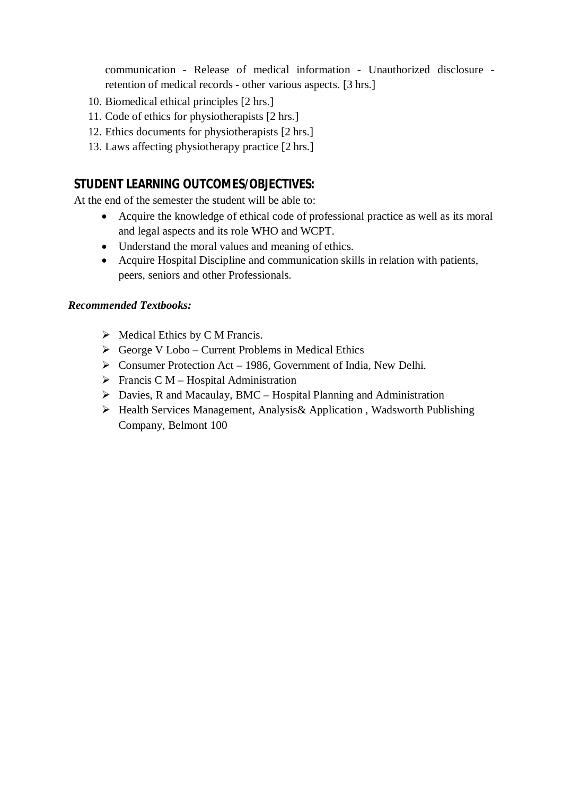communication - Release of medical information - Unauthorized disclosure retention of medical records - other various aspects. [3 hrs.]

- 10. Biomedical ethical principles [2 hrs.]
- 11. Code of ethics for physiotherapists [2 hrs.]
- 12. Ethics documents for physiotherapists [2 hrs.]
- 13. Laws affecting physiotherapy practice [2 hrs.]

### **STUDENT LEARNING OUTCOMES/OBJECTIVES:**

At the end of the semester the student will be able to:

- Acquire the knowledge of ethical code of professional practice as well as its moral and legal aspects and its role WHO and WCPT.
- Understand the moral values and meaning of ethics.
- Acquire Hospital Discipline and communication skills in relation with patients, peers, seniors and other Professionals.

#### *Recommended Textbooks:*

- $\triangleright$  Medical Ethics by C M Francis.
- $\triangleright$  George V Lobo Current Problems in Medical Ethics
- $\triangleright$  Consumer Protection Act 1986, Government of India, New Delhi.
- $\triangleright$  Francis C M Hospital Administration
- $\triangleright$  Davies, R and Macaulay, BMC Hospital Planning and Administration
- Health Services Management, Analysis& Application , Wadsworth Publishing Company, Belmont 100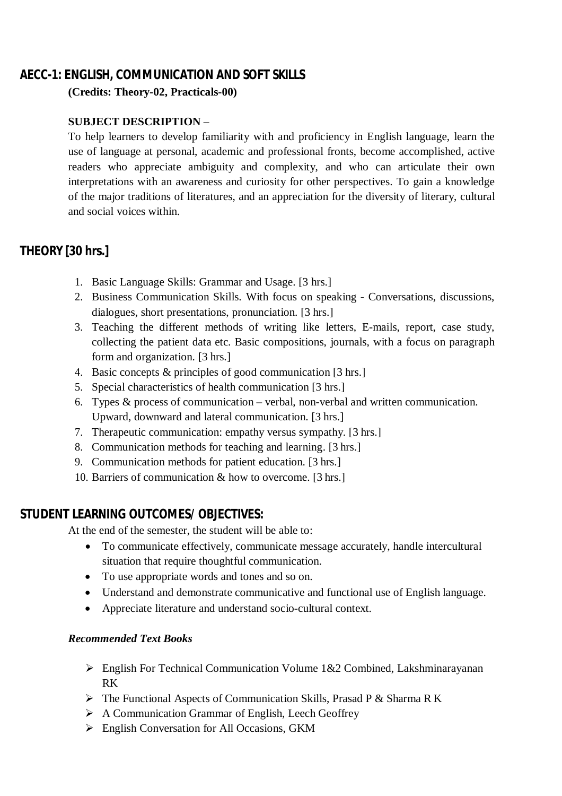# **AECC-1: ENGLISH, COMMUNICATION AND SOFT SKILLS**

**(Credits: Theory-02, Practicals-00)**

### **SUBJECT DESCRIPTION** –

To help learners to develop familiarity with and proficiency in English language, learn the use of language at personal, academic and professional fronts, become accomplished, active readers who appreciate ambiguity and complexity, and who can articulate their own interpretations with an awareness and curiosity for other perspectives. To gain a knowledge of the major traditions of literatures, and an appreciation for the diversity of literary, cultural and social voices within.

# **THEORY [30 hrs.]**

- 1. Basic Language Skills: Grammar and Usage. [3 hrs.]
- 2. Business Communication Skills. With focus on speaking Conversations, discussions, dialogues, short presentations, pronunciation. [3 hrs.]
- 3. Teaching the different methods of writing like letters, E-mails, report, case study, collecting the patient data etc. Basic compositions, journals, with a focus on paragraph form and organization. [3 hrs.]
- 4. Basic concepts & principles of good communication [3 hrs.]
- 5. Special characteristics of health communication [3 hrs.]
- 6. Types & process of communication verbal, non-verbal and written communication. Upward, downward and lateral communication. [3 hrs.]
- 7. Therapeutic communication: empathy versus sympathy. [3 hrs.]
- 8. Communication methods for teaching and learning. [3 hrs.]
- 9. Communication methods for patient education. [3 hrs.]
- 10. Barriers of communication & how to overcome. [3 hrs.]

# **STUDENT LEARNING OUTCOMES/ OBJECTIVES:**

At the end of the semester, the student will be able to:

- To communicate effectively, communicate message accurately, handle intercultural situation that require thoughtful communication.
- To use appropriate words and tones and so on.
- Understand and demonstrate communicative and functional use of English language.
- Appreciate literature and understand socio-cultural context.

### *Recommended Text Books*

- $\triangleright$  English For Technical Communication Volume 1&2 Combined, Lakshminarayanan RK
- $\triangleright$  The Functional Aspects of Communication Skills, Prasad P & Sharma R K
- $\triangleright$  A Communication Grammar of English, Leech Geoffrey
- English Conversation for All Occasions, GKM